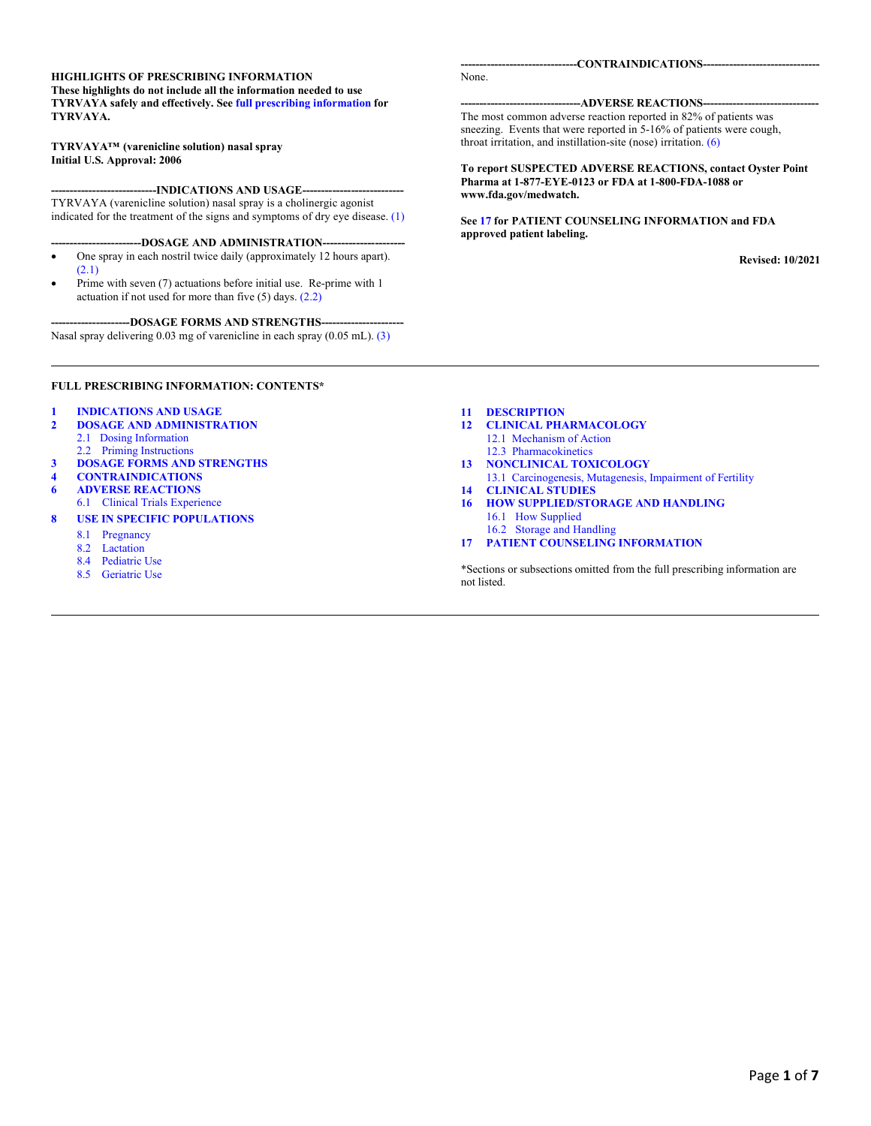#### **HIGHLIGHTS OF PRESCRIBING INFORMATION These highlights do not include all the information needed to use TYRVAYA safely and effectively. See [full prescribing information](#page-1-0) for TYRVAYA.**

#### **TYRVAYA™ (varenicline solution) nasal spray Initial U.S. Approval: 2006**

----INDICATIONS AND USAGE----

TYRVAYA (varenicline solution) nasal spray is a cholinergic agonist indicated for the treatment of the signs and symptoms of dry eye disease. [\(1\)](#page-1-0)

- ---DOSAGE AND ADMINISTRATION----
- One spray in each nostril twice daily (approximately 12 hours apart). [\(2.1\)](#page-1-0)
- Prime with seven (7) actuations before initial use. Re-prime with 1 actuation if not used for more than five (5) days. [\(2.2\)](#page-1-0)

**---------------------DOSAGE FORMS AND STRENGTHS----------------------**

Nasal spray delivering 0.03 mg of varenicline in each spray (0.05 mL). [\(3\)](#page-1-0)

-CONTRAINDICATIONS---

None.

#### **--------------------------------ADVERSE REACTIONS-------------------------------**

The most common adverse reaction reported in 82% of patients was sneezing. Events that were reported in 5-16% of patients were cough, throat irritation, and instillation-site (nose) irritation. [\(6\)](#page-1-0)

**To report SUSPECTED ADVERSE REACTIONS, contact Oyster Point Pharma at 1-877-EYE-0123 or FDA at 1-800-FDA-1088 or www.fda.gov/medwatch.**

**See [17](#page-5-0) for PATIENT COUNSELING INFORMATION and FDA approved patient labeling.** 

**Revised: 10/2021**

#### **FULL PRESCRIBING INFORMATION: CONTENTS\***

- **[1 INDICATIONS AND USAGE](#page-1-0)**
- **[2 DOSAGE AND ADMINISTRATION](#page-1-0)** 
	- [2.1 Dosing Information](#page-1-0)
- 2.2 [Priming Instructions](#page-1-0)
- **[3 DOSAGE FORMS AND STRENGTHS](#page-1-0) [4 CONTRAINDICATIONS](#page-1-0)**
- 
- **[6 ADVERSE REACTIONS](#page-1-0)**
- [6.1 Clinical Trials Experience](#page-1-0)
- **[8 USE IN SPECIFIC POPULATIONS](#page-1-0)**
	- [8.1 Pregnancy](#page-1-0)
	- [8.2 Lactation](#page-2-0)
	- [8.4 Pediatric Use](#page-2-0)
	- [8.5 Geriatric Use](#page-2-0)

#### **[11 DESCRIPTION](#page-2-0)**

- **[12 CLINICAL PHARMACOLOGY](#page-3-0)** [12.1 Mechanism of Action](#page-3-0) 
	- [12.3 Pharmacokinetics](#page-3-0)
- **[13 NONCLINICAL TOXICOLOGY](#page-3-0)**
	- [13.1 Carcinogenesis, Mutagenesis, Impairment of Fertility](#page-3-0)
- **[14 CLINICAL STUDIES](#page-4-0)**
- **[16 HOW SUPPLIED/STORAGE AND HANDLING](#page-5-0)**  [16.1 How Supplied](#page-5-0) 
	- [16.2 Storage and Handling](#page-5-0)
- **[17 PATIENT COUNSELING INFORMATION](#page-5-0)**

\*Sections or subsections omitted from the full prescribing information are not listed.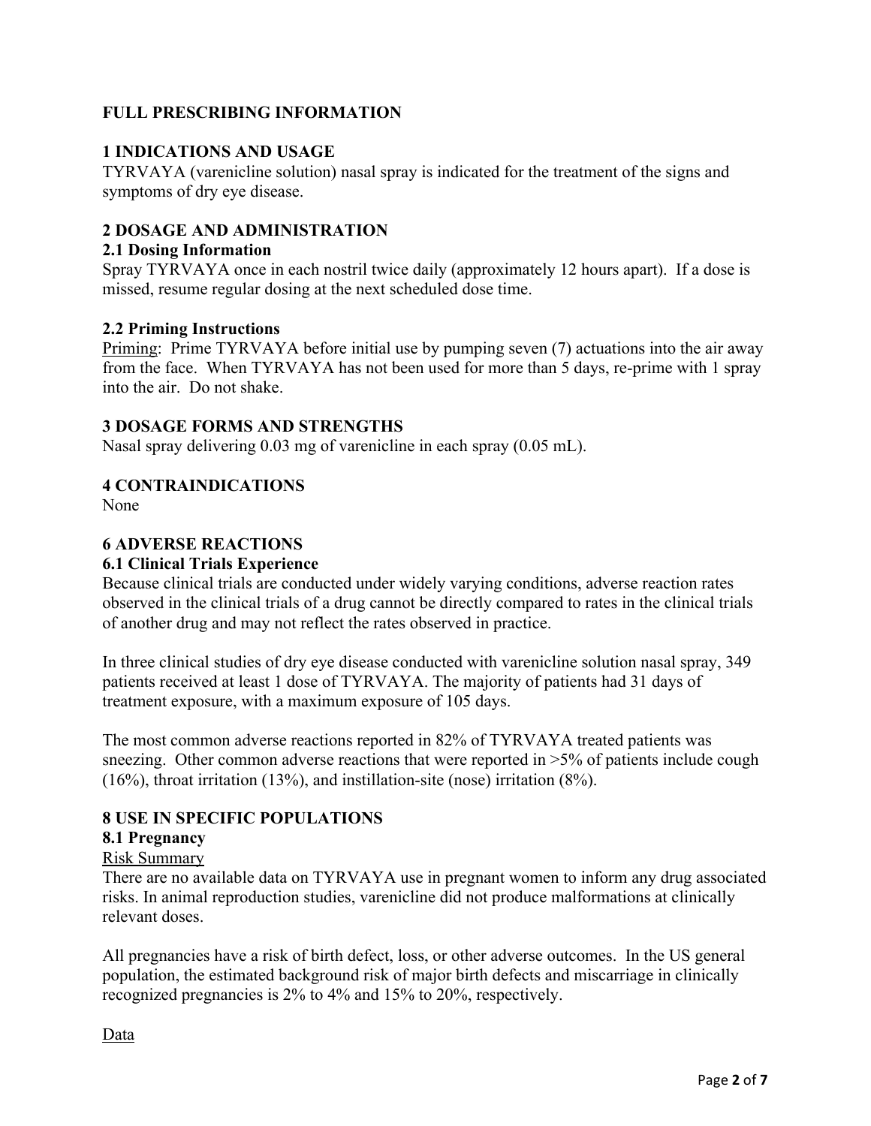# <span id="page-1-0"></span>**FULL PRESCRIBING INFORMATION**

# **1 INDICATIONS AND USAGE**

TYRVAYA (varenicline solution) nasal spray is indicated for the treatment of the signs and symptoms of dry eye disease.

# **2 DOSAGE AND ADMINISTRATION**

## **2.1 Dosing Information**

Spray TYRVAYA once in each nostril twice daily (approximately 12 hours apart). If a dose is missed, resume regular dosing at the next scheduled dose time.

## **2.2 Priming Instructions**

Priming: Prime TYRVAYA before initial use by pumping seven (7) actuations into the air away from the face. When TYRVAYA has not been used for more than 5 days, re-prime with 1 spray into the air. Do not shake.

# **3 DOSAGE FORMS AND STRENGTHS**

Nasal spray delivering 0.03 mg of varenicline in each spray (0.05 mL).

## **4 CONTRAINDICATIONS**

None

# **6 ADVERSE REACTIONS**

## **6.1 Clinical Trials Experience**

Because clinical trials are conducted under widely varying conditions, adverse reaction rates observed in the clinical trials of a drug cannot be directly compared to rates in the clinical trials of another drug and may not reflect the rates observed in practice.

In three clinical studies of dry eye disease conducted with varenicline solution nasal spray, 349 patients received at least 1 dose of TYRVAYA. The majority of patients had 31 days of treatment exposure, with a maximum exposure of 105 days.

The most common adverse reactions reported in 82% of TYRVAYA treated patients was sneezing. Other common adverse reactions that were reported in  $>5\%$  of patients include cough (16%), throat irritation (13%), and instillation-site (nose) irritation (8%).

# **8 USE IN SPECIFIC POPULATIONS**

## **8.1 Pregnancy**

## Risk Summary

There are no available data on TYRVAYA use in pregnant women to inform any drug associated risks. In animal reproduction studies, varenicline did not produce malformations at clinically relevant doses.

All pregnancies have a risk of birth defect, loss, or other adverse outcomes. In the US general population, the estimated background risk of major birth defects and miscarriage in clinically recognized pregnancies is 2% to 4% and 15% to 20%, respectively.

Data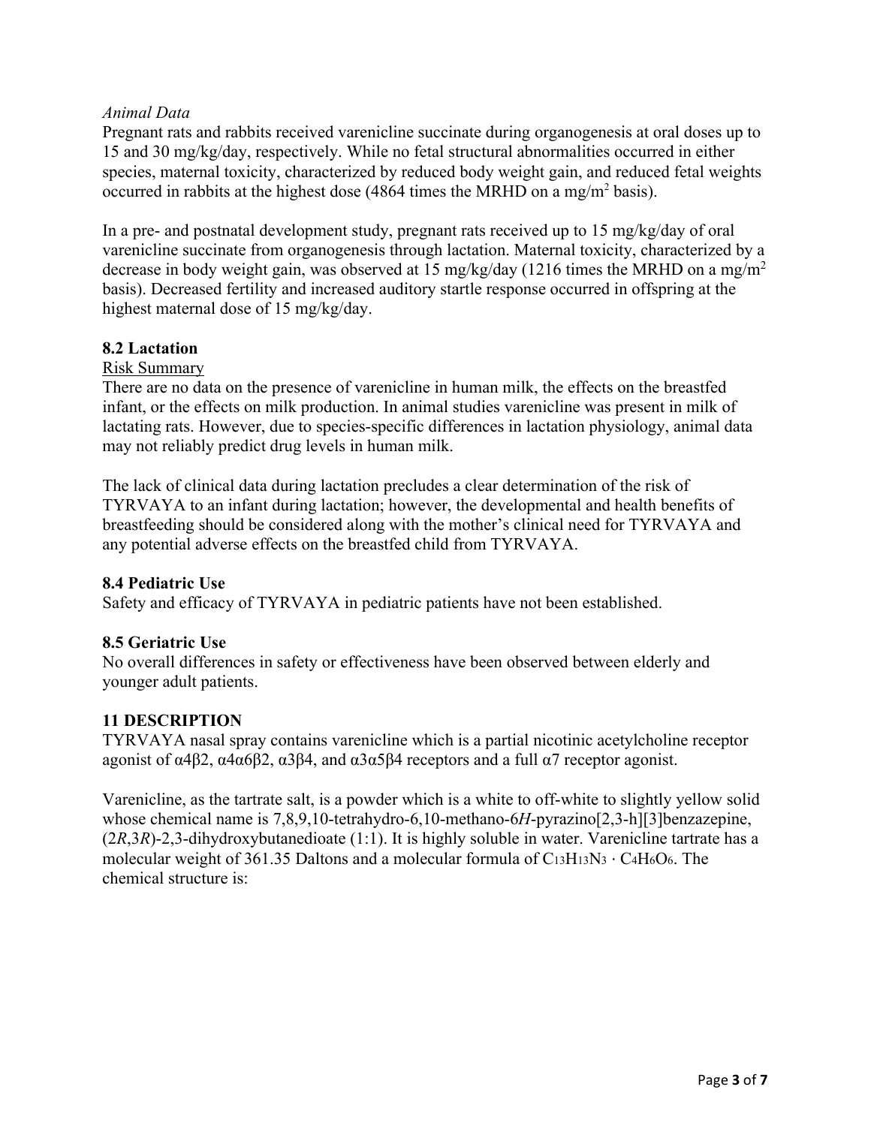# <span id="page-2-0"></span>*Animal Data*

Pregnant rats and rabbits received varenicline succinate during organogenesis at oral doses up to 15 and 30 mg/kg/day, respectively. While no fetal structural abnormalities occurred in either species, maternal toxicity, characterized by reduced body weight gain, and reduced fetal weights occurred in rabbits at the highest dose (4864 times the MRHD on a mg/m<sup>2</sup> basis).

In a pre- and postnatal development study, pregnant rats received up to 15 mg/kg/day of oral varenicline succinate from organogenesis through lactation. Maternal toxicity, characterized by a decrease in body weight gain, was observed at 15 mg/kg/day (1216 times the MRHD on a mg/m<sup>2</sup> basis). Decreased fertility and increased auditory startle response occurred in offspring at the highest maternal dose of 15 mg/kg/day.

# **8.2 Lactation**

## Risk Summary

There are no data on the presence of varenicline in human milk, the effects on the breastfed infant, or the effects on milk production. In animal studies varenicline was present in milk of lactating rats. However, due to species-specific differences in lactation physiology, animal data may not reliably predict drug levels in human milk.

The lack of clinical data during lactation precludes a clear determination of the risk of TYRVAYA to an infant during lactation; however, the developmental and health benefits of breastfeeding should be considered along with the mother's clinical need for TYRVAYA and any potential adverse effects on the breastfed child from TYRVAYA.

## **8.4 Pediatric Use**

Safety and efficacy of TYRVAYA in pediatric patients have not been established.

## **8.5 Geriatric Use**

No overall differences in safety or effectiveness have been observed between elderly and younger adult patients.

# **11 DESCRIPTION**

TYRVAYA nasal spray contains varenicline which is a partial nicotinic acetylcholine receptor agonist of α4β2, α4α6β2, α3β4, and α3α5β4 receptors and a full α7 receptor agonist.

Varenicline, as the tartrate salt, is a powder which is a white to off-white to slightly yellow solid whose chemical name is 7,8,9,10-tetrahydro-6,10-methano-6*H*-pyrazino[2,3-h][3]benzazepine, (2*R*,3*R*)-2,3-dihydroxybutanedioate (1:1). It is highly soluble in water. Varenicline tartrate has a molecular weight of 361.35 Daltons and a molecular formula of C13H13N3 ⋅ C4H6O6. The chemical structure is: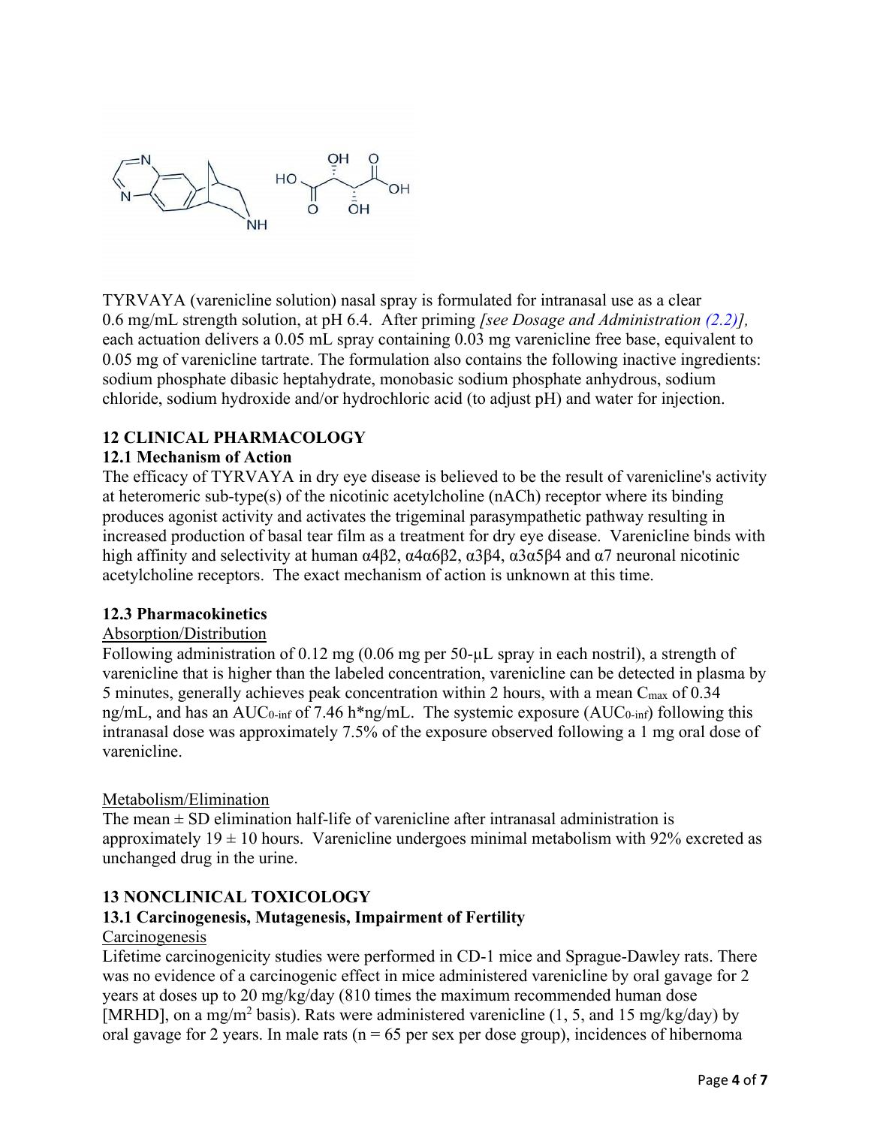<span id="page-3-0"></span>

TYRVAYA (varenicline solution) nasal spray is formulated for intranasal use as a clear 0.6 mg/mL strength solution, at pH 6.4. After priming *[see Dosage and Administration [\(2.2\)](#page-1-0)],* each actuation delivers a 0.05 mL spray containing 0.03 mg varenicline free base, equivalent to 0.05 mg of varenicline tartrate. The formulation also contains the following inactive ingredients: sodium phosphate dibasic heptahydrate, monobasic sodium phosphate anhydrous, sodium chloride, sodium hydroxide and/or hydrochloric acid (to adjust pH) and water for injection.

# **12 CLINICAL PHARMACOLOGY**

## **12.1 Mechanism of Action**

The efficacy of TYRVAYA in dry eye disease is believed to be the result of varenicline's activity at heteromeric sub-type(s) of the nicotinic acetylcholine (nACh) receptor where its binding produces agonist activity and activates the trigeminal parasympathetic pathway resulting in increased production of basal tear film as a treatment for dry eye disease. Varenicline binds with high affinity and selectivity at human  $\alpha$ 4β2,  $\alpha$ 4α6β2,  $\alpha$ 3β4,  $\alpha$ 3α5β4 and  $\alpha$ 7 neuronal nicotinic acetylcholine receptors. The exact mechanism of action is unknown at this time.

## **12.3 Pharmacokinetics**

## Absorption/Distribution

Following administration of 0.12 mg (0.06 mg per 50-µL spray in each nostril), a strength of varenicline that is higher than the labeled concentration, varenicline can be detected in plasma by 5 minutes, generally achieves peak concentration within 2 hours, with a mean  $C_{\text{max}}$  of 0.34 ng/mL, and has an AUC<sub>0-inf</sub> of 7.46 h\*ng/mL. The systemic exposure (AUC<sub>0-inf</sub>) following this intranasal dose was approximately 7.5% of the exposure observed following a 1 mg oral dose of varenicline.

## Metabolism/Elimination

The mean  $\pm$  SD elimination half-life of varenicline after intranasal administration is approximately  $19 \pm 10$  hours. Varenicline undergoes minimal metabolism with 92% excreted as unchanged drug in the urine.

## **13 NONCLINICAL TOXICOLOGY**

## **13.1 Carcinogenesis, Mutagenesis, Impairment of Fertility**

#### Carcinogenesis

Lifetime carcinogenicity studies were performed in CD-1 mice and Sprague-Dawley rats. There was no evidence of a carcinogenic effect in mice administered varenicline by oral gavage for 2 years at doses up to 20 mg/kg/day (810 times the maximum recommended human dose [MRHD], on a mg/m<sup>2</sup> basis). Rats were administered varenicline (1, 5, and 15 mg/kg/day) by oral gavage for 2 years. In male rats ( $n = 65$  per sex per dose group), incidences of hibernoma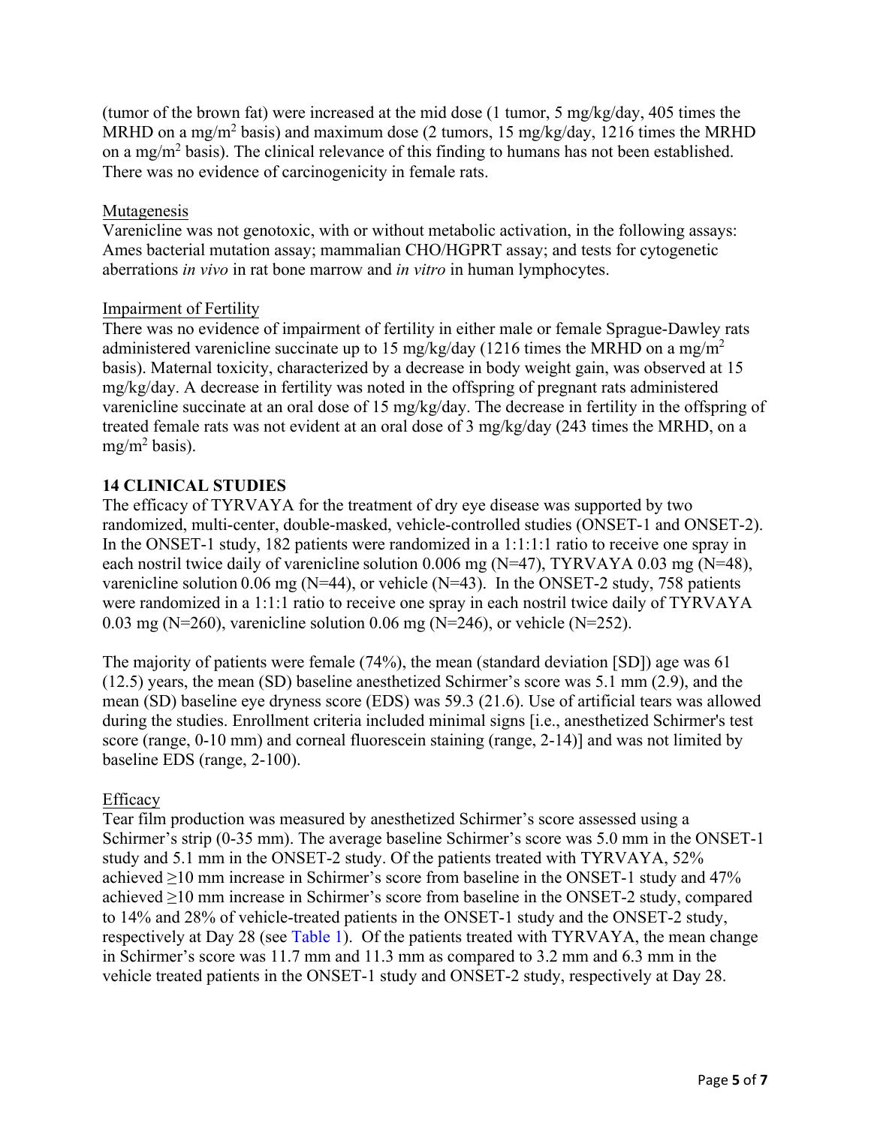<span id="page-4-0"></span>(tumor of the brown fat) were increased at the mid dose (1 tumor, 5 mg/kg/day, 405 times the MRHD on a mg/m<sup>2</sup> basis) and maximum dose (2 tumors, 15 mg/kg/day, 1216 times the MRHD on a mg/m<sup>2</sup> basis). The clinical relevance of this finding to humans has not been established. There was no evidence of carcinogenicity in female rats.

## Mutagenesis

Varenicline was not genotoxic, with or without metabolic activation, in the following assays: Ames bacterial mutation assay; mammalian CHO/HGPRT assay; and tests for cytogenetic aberrations *in vivo* in rat bone marrow and *in vitro* in human lymphocytes.

## Impairment of Fertility

There was no evidence of impairment of fertility in either male or female Sprague-Dawley rats administered varenicline succinate up to 15 mg/kg/day (1216 times the MRHD on a mg/m<sup>2</sup> basis). Maternal toxicity, characterized by a decrease in body weight gain, was observed at 15 mg/kg/day. A decrease in fertility was noted in the offspring of pregnant rats administered varenicline succinate at an oral dose of 15 mg/kg/day. The decrease in fertility in the offspring of treated female rats was not evident at an oral dose of 3 mg/kg/day (243 times the MRHD, on a  $mg/m^2$  basis).

# **14 CLINICAL STUDIES**

The efficacy of TYRVAYA for the treatment of dry eye disease was supported by two randomized, multi-center, double-masked, vehicle-controlled studies (ONSET-1 and ONSET-2). In the ONSET-1 study, 182 patients were randomized in a 1:1:1:1 ratio to receive one spray in each nostril twice daily of varenicline solution 0.006 mg (N=47), TYRVAYA 0.03 mg (N=48), varenicline solution 0.06 mg ( $N=44$ ), or vehicle ( $N=43$ ). In the ONSET-2 study, 758 patients were randomized in a 1:1:1 ratio to receive one spray in each nostril twice daily of TYRVAYA 0.03 mg (N=260), varenicline solution 0.06 mg (N=246), or vehicle (N=252).

The majority of patients were female (74%), the mean (standard deviation [SD]) age was 61 (12.5) years, the mean (SD) baseline anesthetized Schirmer's score was 5.1 mm (2.9), and the mean (SD) baseline eye dryness score (EDS) was 59.3 (21.6). Use of artificial tears was allowed during the studies. Enrollment criteria included minimal signs [i.e., anesthetized Schirmer's test score (range, 0-10 mm) and corneal fluorescein staining (range, 2-14)] and was not limited by baseline EDS (range, 2-100).

# Efficacy

Tear film production was measured by anesthetized Schirmer's score assessed using a Schirmer's strip (0-35 mm). The average baseline Schirmer's score was 5.0 mm in the ONSET-1 study and 5.1 mm in the ONSET-2 study. Of the patients treated with TYRVAYA, 52% achieved ≥10 mm increase in Schirmer's score from baseline in the ONSET-1 study and 47% achieved ≥10 mm increase in Schirmer's score from baseline in the ONSET-2 study, compared to 14% and 28% of vehicle-treated patients in the ONSET-1 study and the ONSET-2 study, respectively at Day 28 (see [Table 1](#page-5-0)). Of the patients treated with TYRVAYA, the mean change in Schirmer's score was 11.7 mm and 11.3 mm as compared to 3.2 mm and 6.3 mm in the vehicle treated patients in the ONSET-1 study and ONSET-2 study, respectively at Day 28.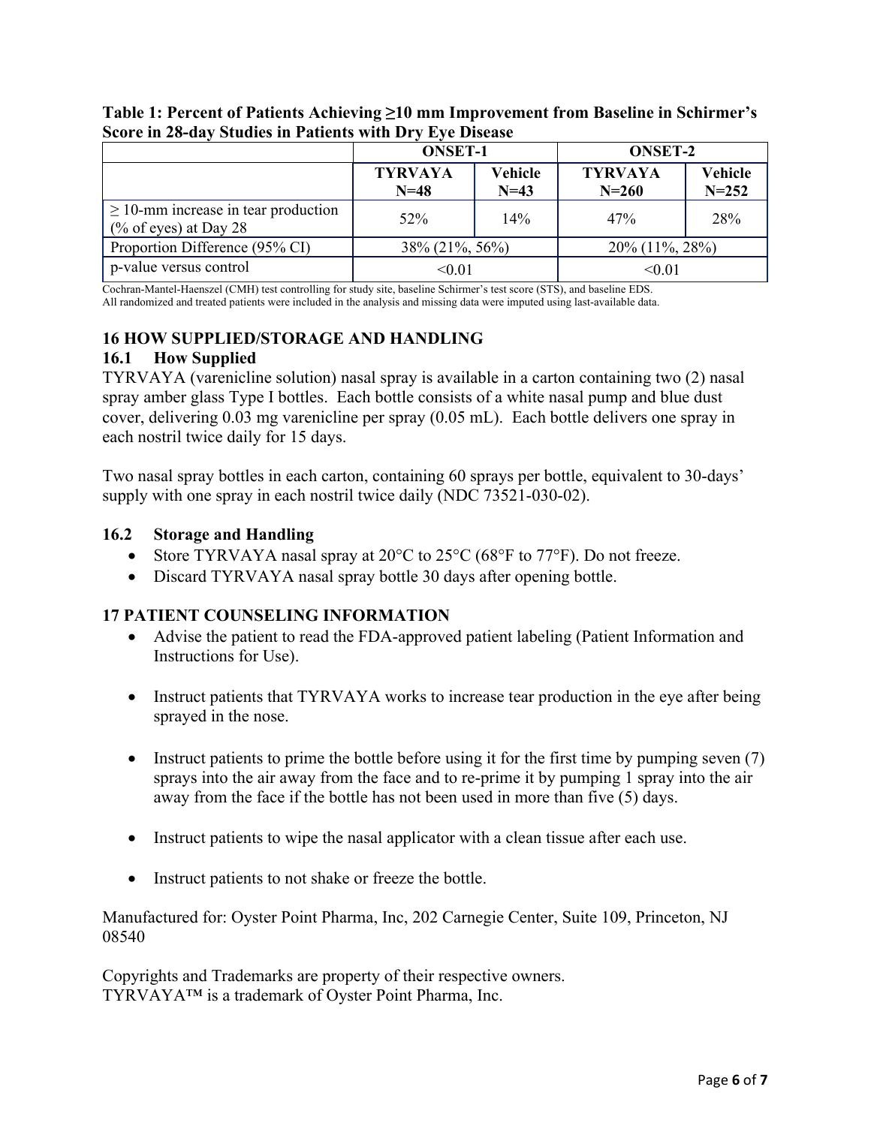|                                                                      | <b>ONSET-1</b>           |                   | <b>ONSET-2</b>              |                      |
|----------------------------------------------------------------------|--------------------------|-------------------|-----------------------------|----------------------|
|                                                                      | <b>TYRVAYA</b><br>$N=48$ | Vehicle<br>$N=43$ | <b>TYRVAYA</b><br>$N = 260$ | Vehicle<br>$N = 252$ |
| $\geq$ 10-mm increase in tear production<br>$(\%$ of eyes) at Day 28 | 52%                      | 14%               | 47%                         | 28%                  |
| Proportion Difference (95% CI)                                       | 38% (21%, 56%)           |                   | 20% (11%, 28%)              |                      |
| p-value versus control                                               | < 0.01                   |                   | < 0.01                      |                      |

<span id="page-5-0"></span>**Table 1: Percent of Patients Achieving ≥10 mm Improvement from Baseline in Schirmer's Score in 28-day Studies in Patients with Dry Eye Disease** 

Cochran-Mantel-Haenszel (CMH) test controlling for study site, baseline Schirmer's test score (STS), and baseline EDS. All randomized and treated patients were included in the analysis and missing data were imputed using last-available data.

# **16 HOW SUPPLIED/STORAGE AND HANDLING 16.1 How Supplied**

TYRVAYA (varenicline solution) nasal spray is available in a carton containing two (2) nasal spray amber glass Type I bottles. Each bottle consists of a white nasal pump and blue dust cover, delivering 0.03 mg varenicline per spray (0.05 mL). Each bottle delivers one spray in each nostril twice daily for 15 days.

Two nasal spray bottles in each carton, containing 60 sprays per bottle, equivalent to 30-days' supply with one spray in each nostril twice daily (NDC 73521-030-02).

# **16.2 Storage and Handling**

- Store TYRVAYA nasal spray at  $20^{\circ}$ C to  $25^{\circ}$ C (68°F to  $77^{\circ}$ F). Do not freeze.
- Discard TYRVAYA nasal spray bottle 30 days after opening bottle.

# **17 PATIENT COUNSELING INFORMATION**

- Advise the patient to read the FDA-approved patient labeling (Patient Information and Instructions for Use).
- Instruct patients that TYRVAYA works to increase tear production in the eye after being sprayed in the nose.
- Instruct patients to prime the bottle before using it for the first time by pumping seven  $(7)$ sprays into the air away from the face and to re-prime it by pumping 1 spray into the air away from the face if the bottle has not been used in more than five (5) days.
- Instruct patients to wipe the nasal applicator with a clean tissue after each use.
- Instruct patients to not shake or freeze the bottle.

Manufactured for: Oyster Point Pharma, Inc, 202 Carnegie Center, Suite 109, Princeton, NJ 08540

Copyrights and Trademarks are property of their respective owners. TYRVAYA™ is a trademark of Oyster Point Pharma, Inc.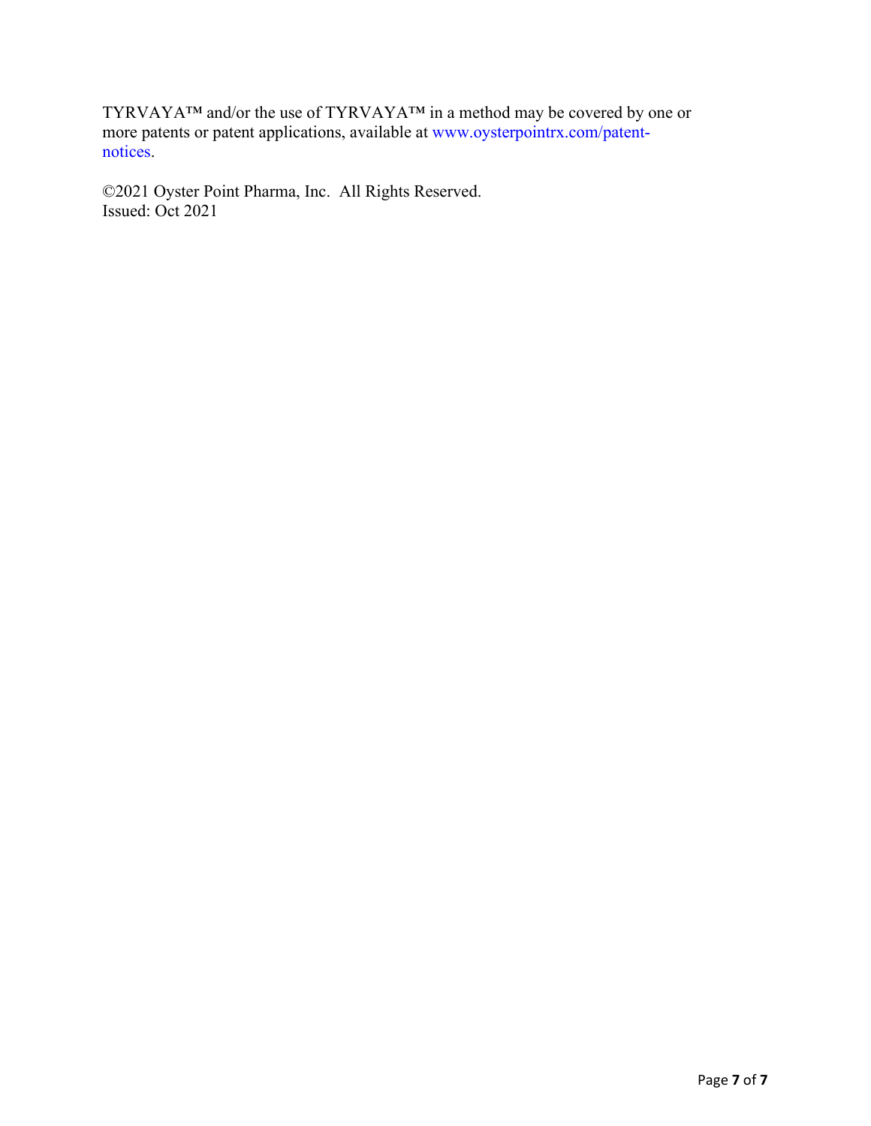TYRVAYA<sup>TM</sup> and/or the use of TYRVAYA<sup>TM</sup> in a method may be covered by one or more patents or patent applications, available at www.oysterpointrx.com/patentnotices.

©2021 Oyster Point Pharma, Inc. All Rights Reserved. Issued: Oct 2021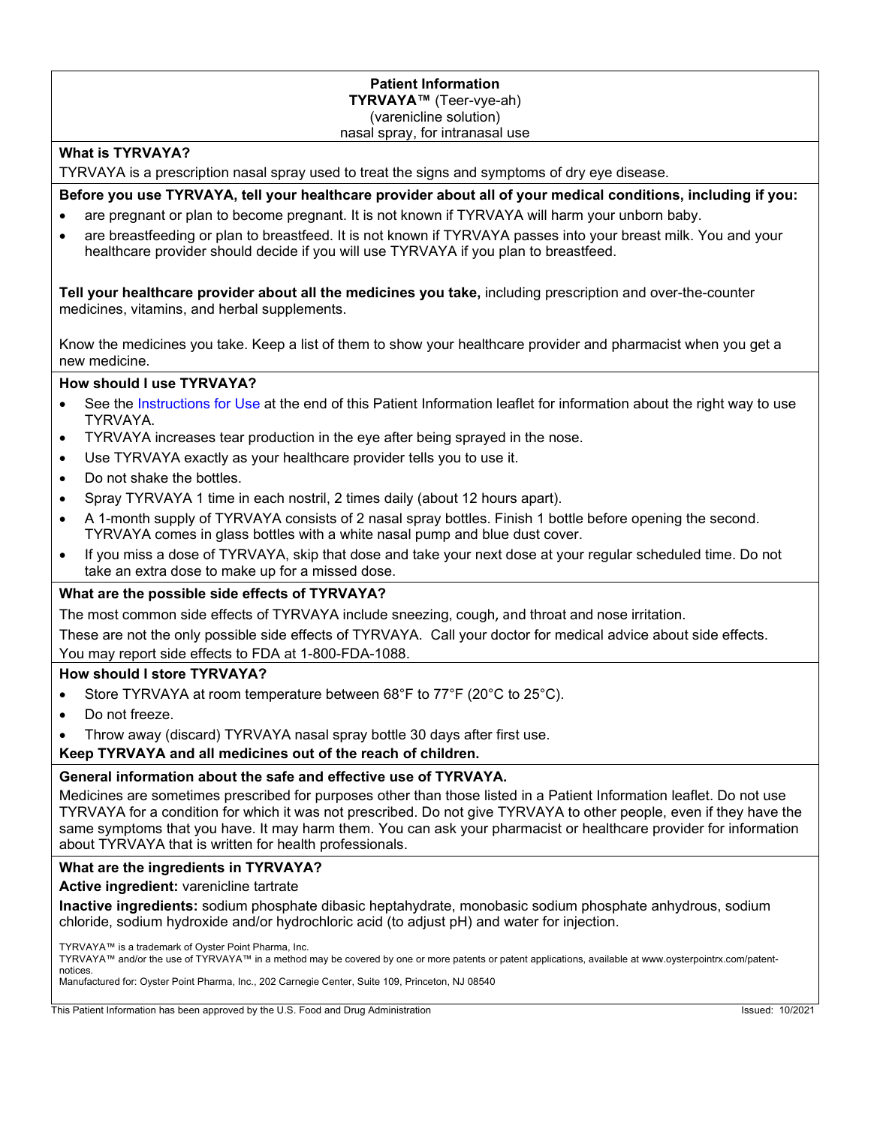#### **Patient Information TYRVAYA™** (Teer-vye-ah) (varenicline solution) nasal spray, for intranasal use

#### **What is TYRVAYA?**

TYRVAYA is a prescription nasal spray used to treat the signs and symptoms of dry eye disease.

**Before you use TYRVAYA, tell your healthcare provider about all of your medical conditions, including if you:** 

- are pregnant or plan to become pregnant. It is not known if TYRVAYA will harm your unborn baby.
- are breastfeeding or plan to breastfeed. It is not known if TYRVAYA passes into your breast milk. You and your healthcare provider should decide if you will use TYRVAYA if you plan to breastfeed.

**Tell your healthcare provider about all the medicines you take,** including prescription and over-the-counter medicines, vitamins, and herbal supplements.

Know the medicines you take. Keep a list of them to show your healthcare provider and pharmacist when you get a new medicine.

#### **How should I use TYRVAYA?**

- See the [Instructions for Use](#page-8-0) at the end of this Patient Information leaflet for information about the right way to use TYRVAYA.
- TYRVAYA increases tear production in the eye after being sprayed in the nose.
- Use TYRVAYA exactly as your healthcare provider tells you to use it.
- Do not shake the bottles.
- Spray TYRVAYA 1 time in each nostril, 2 times daily (about 12 hours apart).
- A 1-month supply of TYRVAYA consists of 2 nasal spray bottles. Finish 1 bottle before opening the second. TYRVAYA comes in glass bottles with a white nasal pump and blue dust cover.
- If you miss a dose of TYRVAYA, skip that dose and take your next dose at your regular scheduled time. Do not take an extra dose to make up for a missed dose.

#### **What are the possible side effects of TYRVAYA?**

The most common side effects of TYRVAYA include sneezing, cough, and throat and nose irritation.

These are not the only possible side effects of TYRVAYA. Call your doctor for medical advice about side effects. You may report side effects to FDA at 1-800-FDA-1088.

#### **How should I store TYRVAYA?**

- Store TYRVAYA at room temperature between 68°F to 77°F (20°C to 25°C).
- Do not freeze.
- Throw away (discard) TYRVAYA nasal spray bottle 30 days after first use.

**Keep TYRVAYA and all medicines out of the reach of children.**

#### **General information about the safe and effective use of TYRVAYA.**

Medicines are sometimes prescribed for purposes other than those listed in a Patient Information leaflet. Do not use TYRVAYA for a condition for which it was not prescribed. Do not give TYRVAYA to other people, even if they have the same symptoms that you have. It may harm them. You can ask your pharmacist or healthcare provider for information about TYRVAYA that is written for health professionals.

#### **What are the ingredients in TYRVAYA?**

**Active ingredient:** varenicline tartrate

**Inactive ingredients:** sodium phosphate dibasic heptahydrate, monobasic sodium phosphate anhydrous, sodium chloride, sodium hydroxide and/or hydrochloric acid (to adjust pH) and water for injection.

TYRVAYA™ is a trademark of Oyster Point Pharma, Inc.

TYRVAYA™ and/or the use of TYRVAYA™ in a method may be covered by one or more patents or patent applications, available at www.oysterpointrx.com/patentnotices.

Manufactured for: Oyster Point Pharma, Inc., 202 Carnegie Center, Suite 109, Princeton, NJ 08540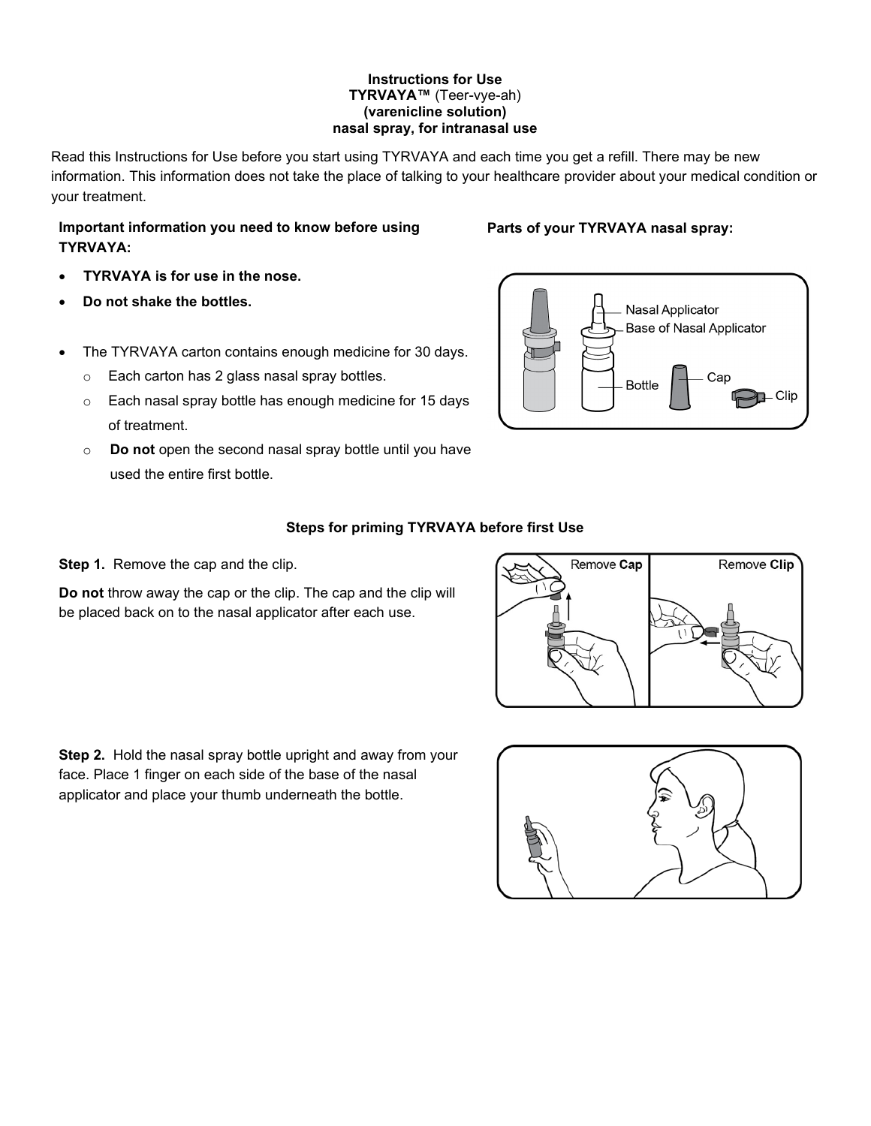#### **Instructions for Use TYRVAYA™** (Teer-vye-ah) **(varenicline solution) nasal spray, for intranasal use**

<span id="page-8-0"></span>Read this Instructions for Use before you start using TYRVAYA and each time you get a refill. There may be new information. This information does not take the place of talking to your healthcare provider about your medical condition or your treatment.

# **Important information you need to know before using TYRVAYA:**

## • **TYRVAYA is for use in the nose.**

- **Do not shake the bottles.**
- The TYRVAYA carton contains enough medicine for 30 days.
	- o Each carton has 2 glass nasal spray bottles.
	- o Each nasal spray bottle has enough medicine for 15 days of treatment.
	- o **Do not** open the second nasal spray bottle until you have used the entire first bottle.

#### **Parts of your TYRVAYA nasal spray:**



#### **Steps for priming TYRVAYA before first Use**

**Step 1.** Remove the cap and the clip.

**Do not** throw away the cap or the clip. The cap and the clip will be placed back on to the nasal applicator after each use.



**Step 2.** Hold the nasal spray bottle upright and away from your face. Place 1 finger on each side of the base of the nasal applicator and place your thumb underneath the bottle.

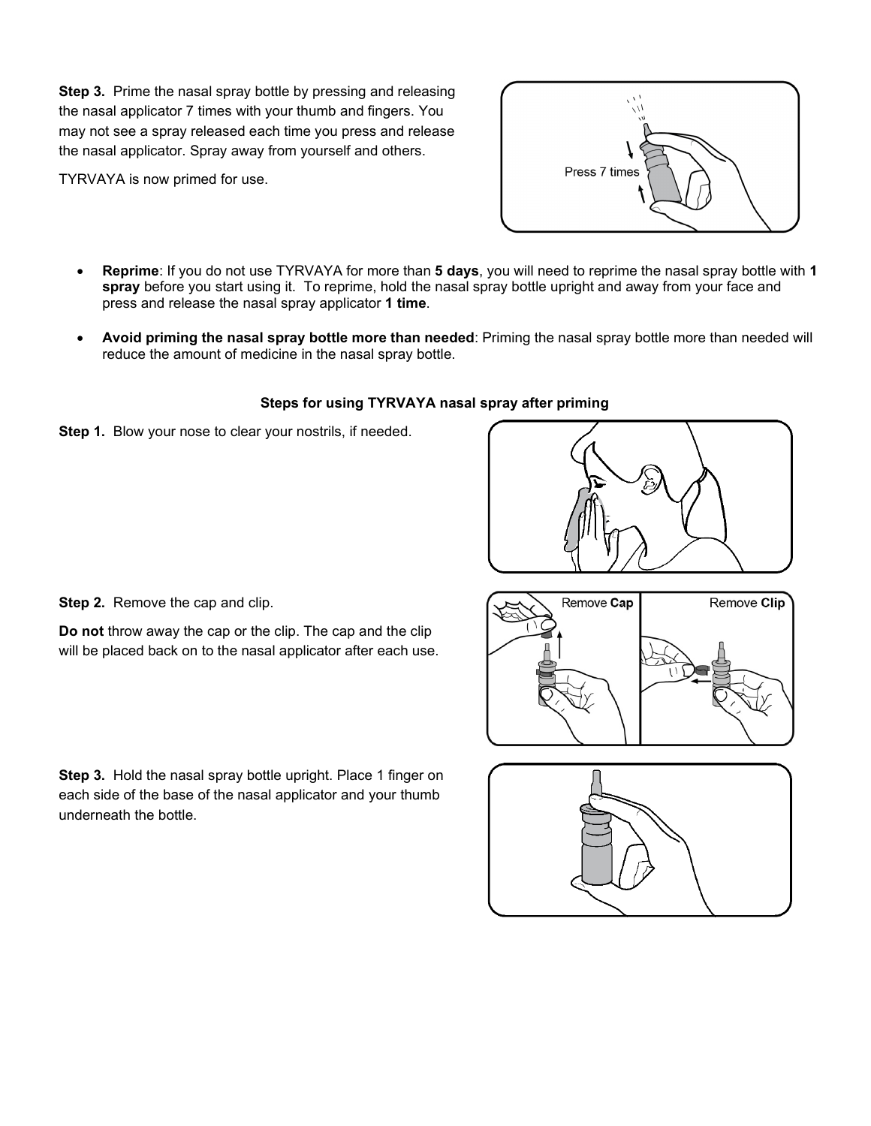**Step 3.** Prime the nasal spray bottle by pressing and releasing the nasal applicator 7 times with your thumb and fingers. You may not see a spray released each time you press and release the nasal applicator. Spray away from yourself and others.

TYRVAYA is now primed for use.



- **Reprime**: If you do not use TYRVAYA for more than **5 days**, you will need to reprime the nasal spray bottle with **1 spray** before you start using it. To reprime, hold the nasal spray bottle upright and away from your face and press and release the nasal spray applicator **1 time**.
- **Avoid priming the nasal spray bottle more than needed**: Priming the nasal spray bottle more than needed will reduce the amount of medicine in the nasal spray bottle.

#### **Steps for using TYRVAYA nasal spray after priming**

**Step 1.** Blow your nose to clear your nostrils, if needed.



**Step 2.** Remove the cap and clip.

underneath the bottle.

**Do not** throw away the cap or the clip. The cap and the clip will be placed back on to the nasal applicator after each use.

**Step 3.** Hold the nasal spray bottle upright. Place 1 finger on each side of the base of the nasal applicator and your thumb